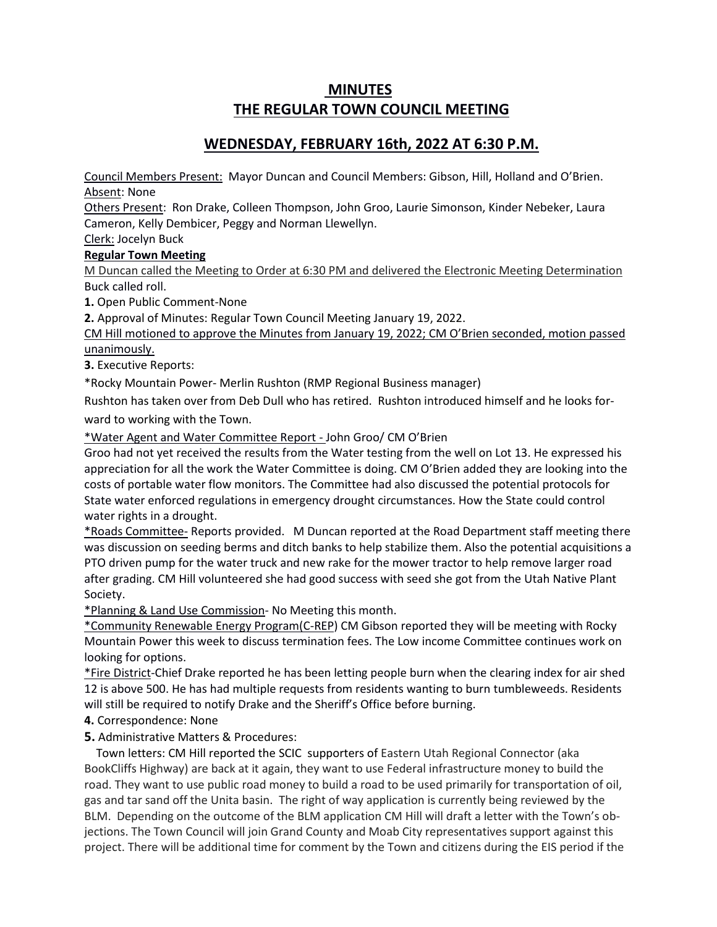# **MINUTES THE REGULAR TOWN COUNCIL MEETING**

## **WEDNESDAY, FEBRUARY 16th, 2022 AT 6:30 P.M.**

Council Members Present: Mayor Duncan and Council Members: Gibson, Hill, Holland and O'Brien. Absent: None

Others Present: Ron Drake, Colleen Thompson, John Groo, Laurie Simonson, Kinder Nebeker, Laura Cameron, Kelly Dembicer, Peggy and Norman Llewellyn.

### Clerk: Jocelyn Buck **Regular Town Meeting**

M Duncan called the Meeting to Order at 6:30 PM and delivered the Electronic Meeting Determination Buck called roll.

**1.** Open Public Comment-None

**2.** Approval of Minutes: Regular Town Council Meeting January 19, 2022.

CM Hill motioned to approve the Minutes from January 19, 2022; CM O'Brien seconded, motion passed unanimously.

**3.** Executive Reports:

\*Rocky Mountain Power- Merlin Rushton (RMP Regional Business manager)

Rushton has taken over from Deb Dull who has retired. Rushton introduced himself and he looks forward to working with the Town.

\*Water Agent and Water Committee Report - John Groo/ CM O'Brien

Groo had not yet received the results from the Water testing from the well on Lot 13. He expressed his appreciation for all the work the Water Committee is doing. CM O'Brien added they are looking into the costs of portable water flow monitors. The Committee had also discussed the potential protocols for State water enforced regulations in emergency drought circumstances. How the State could control water rights in a drought.

\*Roads Committee- Reports provided. M Duncan reported at the Road Department staff meeting there was discussion on seeding berms and ditch banks to help stabilize them. Also the potential acquisitions a PTO driven pump for the water truck and new rake for the mower tractor to help remove larger road after grading. CM Hill volunteered she had good success with seed she got from the Utah Native Plant Society.

\*Planning & Land Use Commission- No Meeting this month.

\*Community Renewable Energy Program(C-REP) CM Gibson reported they will be meeting with Rocky Mountain Power this week to discuss termination fees. The Low income Committee continues work on looking for options.

\*Fire District-Chief Drake reported he has been letting people burn when the clearing index for air shed 12 is above 500. He has had multiple requests from residents wanting to burn tumbleweeds. Residents will still be required to notify Drake and the Sheriff's Office before burning.

**4.** Correspondence: None

### **5.** Administrative Matters & Procedures:

 Town letters: CM Hill reported the SCIC supporters of Eastern Utah Regional Connector (aka BookCliffs Highway) are back at it again, they want to use Federal infrastructure money to build the road. They want to use public road money to build a road to be used primarily for transportation of oil, gas and tar sand off the Unita basin. The right of way application is currently being reviewed by the BLM. Depending on the outcome of the BLM application CM Hill will draft a letter with the Town's objections. The Town Council will join Grand County and Moab City representatives support against this project. There will be additional time for comment by the Town and citizens during the EIS period if the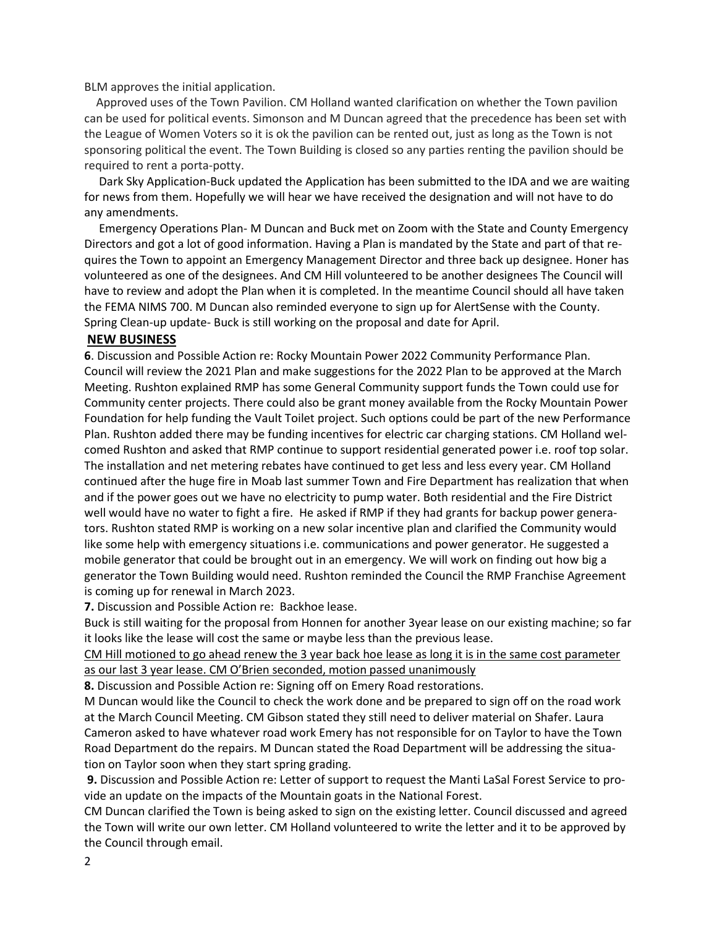BLM approves the initial application.

 Approved uses of the Town Pavilion. CM Holland wanted clarification on whether the Town pavilion can be used for political events. Simonson and M Duncan agreed that the precedence has been set with the League of Women Voters so it is ok the pavilion can be rented out, just as long as the Town is not sponsoring political the event. The Town Building is closed so any parties renting the pavilion should be required to rent a porta-potty.

 Dark Sky Application-Buck updated the Application has been submitted to the IDA and we are waiting for news from them. Hopefully we will hear we have received the designation and will not have to do any amendments.

 Emergency Operations Plan- M Duncan and Buck met on Zoom with the State and County Emergency Directors and got a lot of good information. Having a Plan is mandated by the State and part of that requires the Town to appoint an Emergency Management Director and three back up designee. Honer has volunteered as one of the designees. And CM Hill volunteered to be another designees The Council will have to review and adopt the Plan when it is completed. In the meantime Council should all have taken the FEMA NIMS 700. M Duncan also reminded everyone to sign up for AlertSense with the County. Spring Clean-up update- Buck is still working on the proposal and date for April.

#### **NEW BUSINESS**

**6**. Discussion and Possible Action re: Rocky Mountain Power 2022 Community Performance Plan. Council will review the 2021 Plan and make suggestions for the 2022 Plan to be approved at the March Meeting. Rushton explained RMP has some General Community support funds the Town could use for Community center projects. There could also be grant money available from the Rocky Mountain Power Foundation for help funding the Vault Toilet project. Such options could be part of the new Performance Plan. Rushton added there may be funding incentives for electric car charging stations. CM Holland welcomed Rushton and asked that RMP continue to support residential generated power i.e. roof top solar. The installation and net metering rebates have continued to get less and less every year. CM Holland continued after the huge fire in Moab last summer Town and Fire Department has realization that when and if the power goes out we have no electricity to pump water. Both residential and the Fire District well would have no water to fight a fire. He asked if RMP if they had grants for backup power generators. Rushton stated RMP is working on a new solar incentive plan and clarified the Community would like some help with emergency situations i.e. communications and power generator. He suggested a mobile generator that could be brought out in an emergency. We will work on finding out how big a generator the Town Building would need. Rushton reminded the Council the RMP Franchise Agreement is coming up for renewal in March 2023.

**7.** Discussion and Possible Action re: Backhoe lease.

Buck is still waiting for the proposal from Honnen for another 3year lease on our existing machine; so far it looks like the lease will cost the same or maybe less than the previous lease.

CM Hill motioned to go ahead renew the 3 year back hoe lease as long it is in the same cost parameter as our last 3 year lease. CM O'Brien seconded, motion passed unanimously

**8.** Discussion and Possible Action re: Signing off on Emery Road restorations.

M Duncan would like the Council to check the work done and be prepared to sign off on the road work at the March Council Meeting. CM Gibson stated they still need to deliver material on Shafer. Laura Cameron asked to have whatever road work Emery has not responsible for on Taylor to have the Town Road Department do the repairs. M Duncan stated the Road Department will be addressing the situation on Taylor soon when they start spring grading.

**9.** Discussion and Possible Action re: Letter of support to request the Manti LaSal Forest Service to provide an update on the impacts of the Mountain goats in the National Forest.

CM Duncan clarified the Town is being asked to sign on the existing letter. Council discussed and agreed the Town will write our own letter. CM Holland volunteered to write the letter and it to be approved by the Council through email.